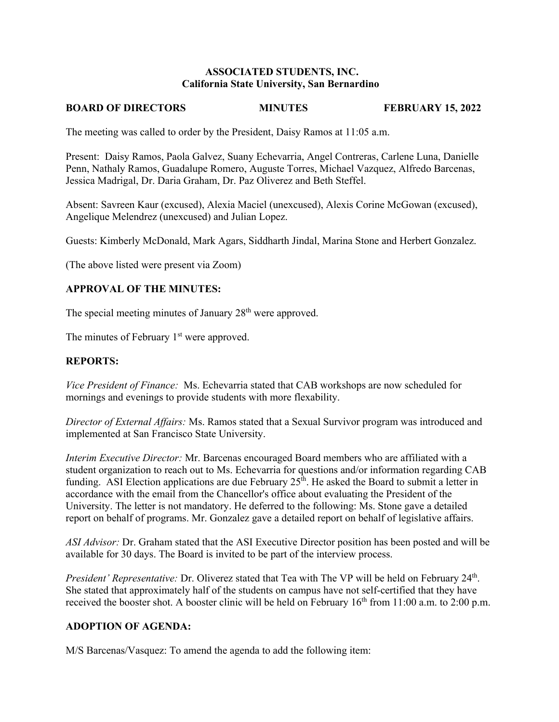# **ASSOCIATED STUDENTS, INC. California State University, San Bernardino**

#### **BOARD OF DIRECTORS MINUTES FEBRUARY 15, 2022**

The meeting was called to order by the President, Daisy Ramos at 11:05 a.m.

Present: Daisy Ramos, Paola Galvez, Suany Echevarria, Angel Contreras, Carlene Luna, Danielle Penn, Nathaly Ramos, Guadalupe Romero, Auguste Torres, Michael Vazquez, Alfredo Barcenas, Jessica Madrigal, Dr. Daria Graham, Dr. Paz Oliverez and Beth Steffel.

Absent: Savreen Kaur (excused), Alexia Maciel (unexcused), Alexis Corine McGowan (excused), Angelique Melendrez (unexcused) and Julian Lopez.

Guests: Kimberly McDonald, Mark Agars, Siddharth Jindal, Marina Stone and Herbert Gonzalez.

(The above listed were present via Zoom)

### **APPROVAL OF THE MINUTES:**

The special meeting minutes of January 28<sup>th</sup> were approved.

The minutes of February 1<sup>st</sup> were approved.

### **REPORTS:**

*Vice President of Finance:* Ms. Echevarria stated that CAB workshops are now scheduled for mornings and evenings to provide students with more flexability.

*Director of External Affairs:* Ms. Ramos stated that a Sexual Survivor program was introduced and implemented at San Francisco State University.

*Interim Executive Director:* Mr. Barcenas encouraged Board members who are affiliated with a student organization to reach out to Ms. Echevarria for questions and/or information regarding CAB funding. ASI Election applications are due February  $25<sup>th</sup>$ . He asked the Board to submit a letter in accordance with the email from the Chancellor's office about evaluating the President of the University. The letter is not mandatory. He deferred to the following: Ms. Stone gave a detailed report on behalf of programs. Mr. Gonzalez gave a detailed report on behalf of legislative affairs.

*ASI Advisor:* Dr. Graham stated that the ASI Executive Director position has been posted and will be available for 30 days. The Board is invited to be part of the interview process.

President' Representative: Dr. Oliverez stated that Tea with The VP will be held on February 24<sup>th</sup>. She stated that approximately half of the students on campus have not self-certified that they have received the booster shot. A booster clinic will be held on February  $16<sup>th</sup>$  from 11:00 a.m. to 2:00 p.m.

# **ADOPTION OF AGENDA:**

M/S Barcenas/Vasquez: To amend the agenda to add the following item: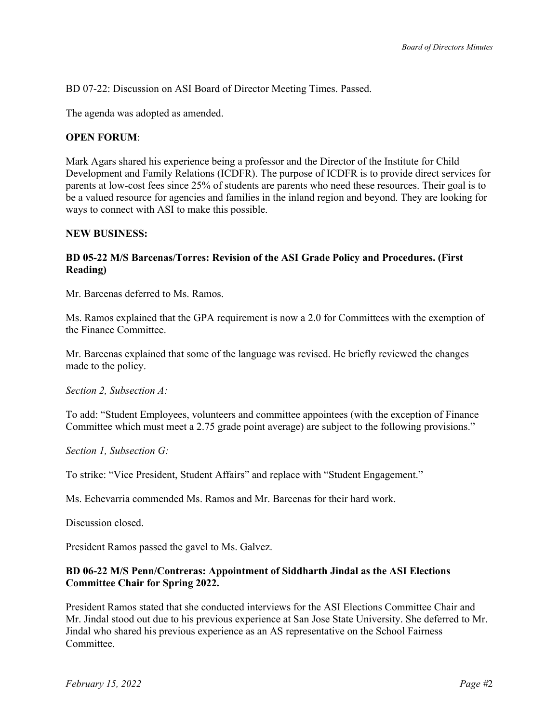BD 07-22: Discussion on ASI Board of Director Meeting Times. Passed.

The agenda was adopted as amended.

### **OPEN FORUM**:

Mark Agars shared his experience being a professor and the Director of the Institute for Child Development and Family Relations (ICDFR). The purpose of ICDFR is to provide direct services for parents at low-cost fees since 25% of students are parents who need these resources. Their goal is to be a valued resource for agencies and families in the inland region and beyond. They are looking for ways to connect with ASI to make this possible.

#### **NEW BUSINESS:**

# **BD 05-22 M/S Barcenas/Torres: Revision of the ASI Grade Policy and Procedures. (First Reading)**

Mr. Barcenas deferred to Ms. Ramos.

Ms. Ramos explained that the GPA requirement is now a 2.0 for Committees with the exemption of the Finance Committee.

Mr. Barcenas explained that some of the language was revised. He briefly reviewed the changes made to the policy.

*Section 2, Subsection A:* 

To add: "Student Employees, volunteers and committee appointees (with the exception of Finance Committee which must meet a 2.75 grade point average) are subject to the following provisions."

*Section 1, Subsection G:* 

To strike: "Vice President, Student Affairs" and replace with "Student Engagement."

Ms. Echevarria commended Ms. Ramos and Mr. Barcenas for their hard work.

Discussion closed.

President Ramos passed the gavel to Ms. Galvez.

# **BD 06-22 M/S Penn/Contreras: Appointment of Siddharth Jindal as the ASI Elections Committee Chair for Spring 2022.**

President Ramos stated that she conducted interviews for the ASI Elections Committee Chair and Mr. Jindal stood out due to his previous experience at San Jose State University. She deferred to Mr. Jindal who shared his previous experience as an AS representative on the School Fairness Committee.